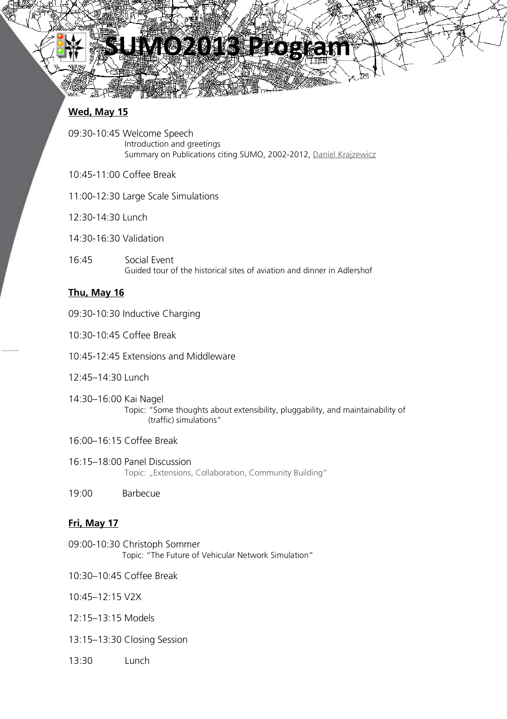# **SUMO2013 Program**

# **Wed, May 15**

۱

- 09:30-10:45 Welcome Speech Introduction and greetings Summary on Publications citing SUMO, 2002-2012, Daniel Krajzewicz
- 10:45-11:00 Coffee Break
- 11:00-12:30 Large Scale Simulations
- 12:30-14:30 Lunch
- 14:30-16:30 Validation
- 16:45 Social Event Guided tour of the historical sites of aviation and dinner in Adlershof

# **Thu, May 16**

- 09:30-10:30 Inductive Charging
- 10:30-10:45 Coffee Break
- 10:45-12:45 Extensions and Middleware
- 12:45–14:30 Lunch
- 14:30–16:00 Kai Nagel Topic: "Some thoughts about extensibility, pluggability, and maintainability of (traffic) simulations"
- 16:00–16:15 Coffee Break
- 16:15–18:00 Panel Discussion Topic: "Extensions, Collaboration, Community Building"
- 19:00 Barbecue

# **Fri, May 17**

- 09:00-10:30 Christoph Sommer Topic: "The Future of Vehicular Network Simulation"
- 10:30–10:45 Coffee Break
- 10:45–12:15 V2X
- 12:15–13:15 Models
- 13:15–13:30 Closing Session
- 13:30 Lunch